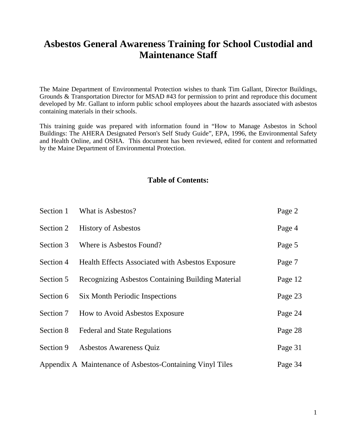# **Asbestos General Awareness Training for School Custodial and Maintenance Staff**

The Maine Department of Environmental Protection wishes to thank Tim Gallant, Director Buildings, Grounds & Transportation Director for MSAD #43 for permission to print and reproduce this document developed by Mr. Gallant to inform public school employees about the hazards associated with asbestos containing materials in their schools.

This training guide was prepared with information found in "How to Manage Asbestos in School Buildings: The AHERA Designated Person's Self Study Guide", EPA, 1996, the Environmental Safety and Health Online, and OSHA. This document has been reviewed, edited for content and reformatted by the Maine Department of Environmental Protection.

## **Table of Contents:**

| Section 1 | What is Asbestos?                                         | Page 2  |
|-----------|-----------------------------------------------------------|---------|
| Section 2 | <b>History of Asbestos</b>                                | Page 4  |
| Section 3 | Where is Asbestos Found?                                  | Page 5  |
| Section 4 | Health Effects Associated with Asbestos Exposure          | Page 7  |
| Section 5 | Recognizing Asbestos Containing Building Material         | Page 12 |
| Section 6 | <b>Six Month Periodic Inspections</b>                     | Page 23 |
| Section 7 | How to Avoid Asbestos Exposure                            | Page 24 |
| Section 8 | <b>Federal and State Regulations</b>                      | Page 28 |
| Section 9 | Asbestos Awareness Quiz                                   | Page 31 |
|           | Appendix A Maintenance of Asbestos-Containing Vinyl Tiles | Page 34 |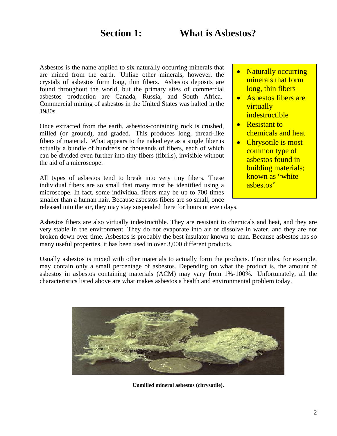Asbestos is the name applied to six naturally occurring minerals that are mined from the earth. Unlike other minerals, however, the crystals of asbestos form long, thin fibers. Asbestos deposits are found throughout the world, but the primary sites of commercial asbestos production are Canada, Russia, and South Africa. Commercial mining of asbestos in the United States was halted in the 1980s.

Once extracted from the earth, asbestos-containing rock is crushed, milled (or ground), and graded. This produces long, thread-like fibers of material. What appears to the naked eye as a single fiber is actually a bundle of hundreds or thousands of fibers, each of which can be divided even further into tiny fibers (fibrils), invisible without the aid of a microscope.

All types of asbestos tend to break into very tiny fibers. These individual fibers are so small that many must be identified using a microscope. In fact, some individual fibers may be up to 700 times smaller than a human hair. Because asbestos fibers are so small, once

- **Naturally occurring** minerals that form long, thin fibers
- Asbestos fibers are virtually indestructible
- Resistant to chemicals and heat
- Chrysotile is most common type of asbestos found in building materials; known as "white asbestos"

released into the air, they may stay suspended there for hours or even days.

Asbestos fibers are also virtually indestructible. They are resistant to chemicals and heat, and they are very stable in the environment. They do not evaporate into air or dissolve in water, and they are not broken down over time. Asbestos is probably the best insulator known to man. Because asbestos has so many useful properties, it has been used in over 3,000 different products.

Usually asbestos is mixed with other materials to actually form the products. Floor tiles, for example, may contain only a small percentage of asbestos. Depending on what the product is, the amount of asbestos in asbestos containing materials (ACM) may vary from 1%-100%. Unfortunately, all the characteristics listed above are what makes asbestos a health and environmental problem today.



**Unmilled mineral asbestos (chrysotile).**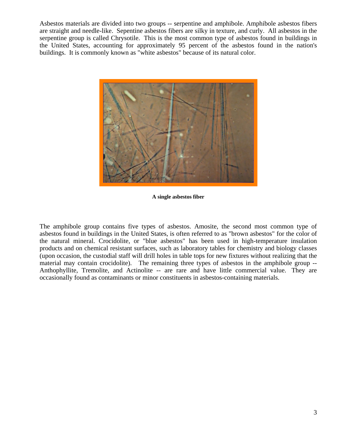Asbestos materials are divided into two groups -- serpentine and amphibole. Amphibole asbestos fibers are straight and needle-like. Sepentine asbestos fibers are silky in texture, and curly. All asbestos in the serpentine group is called Chrysotile. This is the most common type of asbestos found in buildings in the United States, accounting for approximately 95 percent of the asbestos found in the nation's buildings. It is commonly known as "white asbestos" because of its natural color.



**A single asbestos fiber** 

The amphibole group contains five types of asbestos. Amosite, the second most common type of asbestos found in buildings in the United States, is often referred to as "brown asbestos" for the color of the natural mineral. Crocidolite, or "blue asbestos" has been used in high-temperature insulation products and on chemical resistant surfaces, such as laboratory tables for chemistry and biology classes (upon occasion, the custodial staff will drill holes in table tops for new fixtures without realizing that the material may contain crocidolite). The remaining three types of asbestos in the amphibole group -- Anthophyllite, Tremolite, and Actinolite -- are rare and have little commercial value. They are occasionally found as contaminants or minor constituents in asbestos-containing materials.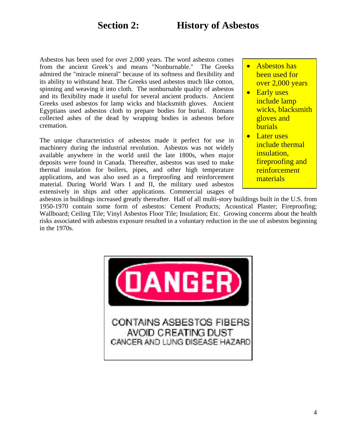# **Section 2: History of Asbestos**

Asbestos has been used for over 2,000 years. The word asbestos comes from the ancient Greek's and means "Nonburnable." The Greeks admired the "miracle mineral" because of its softness and flexibility and its ability to withstand heat. The Greeks used asbestos much like cotton, spinning and weaving it into cloth. The nonburnable quality of asbestos and its flexibility made it useful for several ancient products. Ancient Greeks used asbestos for lamp wicks and blacksmith gloves. Ancient Egyptians used asbestos cloth to prepare bodies for burial. Romans collected ashes of the dead by wrapping bodies in asbestos before cremation.

The unique characteristics of asbestos made it perfect for use in machinery during the industrial revolution. Asbestos was not widely available anywhere in the world until the late 1800s, when major deposits were found in Canada. Thereafter, asbestos was used to make thermal insulation for boilers, pipes, and other high temperature applications, and was also used as a fireproofing and reinforcement material. During World Wars I and II, the military used asbestos extensively in ships and other applications. Commercial usages of

- Asbestos has been used for over 2,000 years
- Early uses include lamp wicks, blacksmith gloves and burials
- Later uses include thermal insulation, fireproofing and reinforcement materials

asbestos in buildings increased greatly thereafter. Half of all multi-story buildings built in the U.S. from 1950-1970 contain some form of asbestos: Cement Products; Acoustical Plaster; Fireproofing; Wallboard; Ceiling Tile; Vinyl Asbestos Floor Tile; Insulation; Etc. Growing concerns about the health risks associated with asbestos exposure resulted in a voluntary reduction in the use of asbestos beginning in the 1970s.

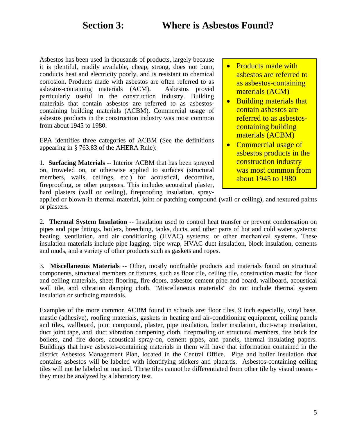Asbestos has been used in thousands of products, largely because it is plentiful, readily available, cheap, strong, does not burn, conducts heat and electricity poorly, and is resistant to chemical corrosion. Products made with asbestos are often referred to as asbestos-containing materials (ACM). Asbestos proved particularly useful in the construction industry. Building materials that contain asbestos are referred to as asbestoscontaining building materials (ACBM). Commercial usage of asbestos products in the construction industry was most common from about 1945 to 1980.

EPA identifies three categories of ACBM (See the definitions appearing in § 763.83 of the AHERA Rule):

1. **Surfacing Materials** -- Interior ACBM that has been sprayed on, troweled on, or otherwise applied to surfaces (structural members, walls, ceilings, etc.) for acoustical, decorative, fireproofing, or other purposes. This includes acoustical plaster, hard plasters (wall or ceiling), fireproofing insulation, spray-

- Products made with asbestos are referred to as asbestos-containing materials (ACM)
- Building materials that contain asbestos are referred to as asbestoscontaining building materials (ACBM)
- Commercial usage of asbestos products in the construction industry was most common from about 1945 to 1980

applied or blown-in thermal material, joint or patching compound (wall or ceiling), and textured paints or plasters.

2. **Thermal System Insulation** -- Insulation used to control heat transfer or prevent condensation on pipes and pipe fittings, boilers, breeching, tanks, ducts, and other parts of hot and cold water systems; heating, ventilation, and air conditioning (HVAC) systems; or other mechanical systems. These insulation materials include pipe lagging, pipe wrap, HVAC duct insulation, block insulation, cements and muds, and a variety of other products such as gaskets and ropes.

3. **Miscellaneous Materials** -- Other, mostly nonfriable products and materials found on structural components, structural members or fixtures, such as floor tile, ceiling tile, construction mastic for floor and ceiling materials, sheet flooring, fire doors, asbestos cement pipe and board, wallboard, acoustical wall tile, and vibration damping cloth. "Miscellaneous materials" do not include thermal system insulation or surfacing materials.

Examples of the more common ACBM found in schools are: floor tiles, 9 inch especially, vinyl base, mastic (adhesive), roofing materials, gaskets in heating and air-conditioning equipment, ceiling panels and tiles, wallboard, joint compound, plaster, pipe insulation, boiler insulation, duct-wrap insulation, duct joint tape, and duct vibration dampening cloth, fireproofing on structural members, fire brick for boilers, and fire doors, acoustical spray-on, cement pipes, and panels, thermal insulating papers. Buildings that have asbestos-containing materials in them will have that information contained in the district Asbestos Management Plan, located in the Central Office. Pipe and boiler insulation that contains asbestos will be labeled with identifying stickers and placards. Asbestos-containing ceiling tiles will not be labeled or marked. These tiles cannot be differentiated from other tile by visual means they must be analyzed by a laboratory test.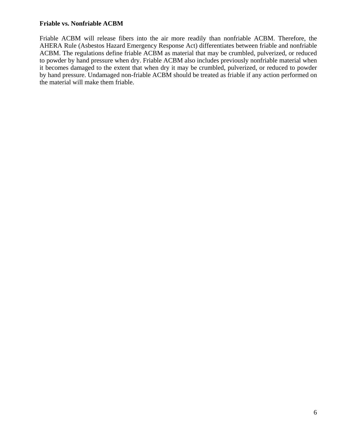#### **Friable vs. Nonfriable ACBM**

Friable ACBM will release fibers into the air more readily than nonfriable ACBM. Therefore, the AHERA Rule (Asbestos Hazard Emergency Response Act) differentiates between friable and nonfriable ACBM. The regulations define friable ACBM as material that may be crumbled, pulverized, or reduced to powder by hand pressure when dry. Friable ACBM also includes previously nonfriable material when it becomes damaged to the extent that when dry it may be crumbled, pulverized, or reduced to powder by hand pressure. Undamaged non-friable ACBM should be treated as friable if any action performed on the material will make them friable.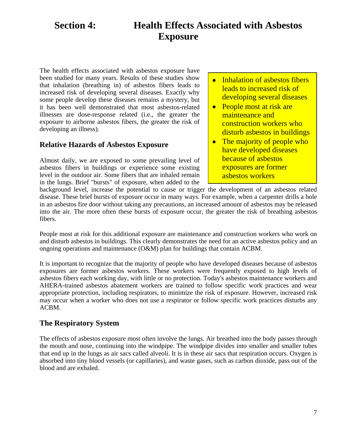# **Section 4: Health Effects Associated with Asbestos Exposure**

The health effects associated with asbestos exposure have been studied for many years. Results of these studies show that inhalation (breathing in) of asbestos fibers leads to increased risk of developing several diseases. Exactly why some people develop these diseases remains a mystery, but it has been well demonstrated that most asbestos-related illnesses are dose-response related (i.e., the greater the exposure to airborne asbestos fibers, the greater the risk of developing an illness).

### **Relative Hazards of Asbestos Exposure**

Almost daily, we are exposed to some prevailing level of asbestos fibers in buildings or experience some existing level in the outdoor air. Some fibers that are inhaled remain in the lungs. Brief "bursts" of exposure, when added to the

- Inhalation of asbestos fibers leads to increased risk of developing several diseases
- People most at risk are maintenance and construction workers who disturb asbestos in buildings
- The majority of people who have developed diseases because of asbestos exposures are former asbestos workers

background level, increase the potential to cause or trigger the development of an asbestos related disease. These brief bursts of exposure occur in many ways. For example, when a carpenter drills a hole in an asbestos fire door without taking any precautions, an increased amount of asbestos may be released into the air. The more often these bursts of exposure occur, the greater the risk of breathing asbestos fibers.

People most at risk for this additional exposure are maintenance and construction workers who work on and disturb asbestos in buildings. This clearly demonstrates the need for an active asbestos policy and an ongoing operations and maintenance  $(O\&M)$  plan for buildings that contain ACBM.

It is important to recognize that the majority of people who have developed diseases because of asbestos exposures are former asbestos workers. These workers were frequently exposed to high levels of asbestos fibers each working day, with little or no protection. Today's asbestos maintenance workers and AHERA-trained asbestos abatement workers are trained to follow specific work practices and wear appropriate protection, including respirators, to minimize the risk of exposure. However, increased risk may occur when a worker who does not use a respirator or follow specific work practices disturbs any ACBM.

## **The Respiratory System**

The effects of asbestos exposure most often involve the lungs. Air breathed into the body passes through the mouth and nose, continuing into the windpipe. The windpipe divides into smaller and smaller tubes that end up in the lungs as air sacs called alveoli. It is in these air sacs that respiration occurs. Oxygen is absorbed into tiny blood vessels (or capillaries), and waste gases, such as carbon dioxide, pass out of the blood and are exhaled.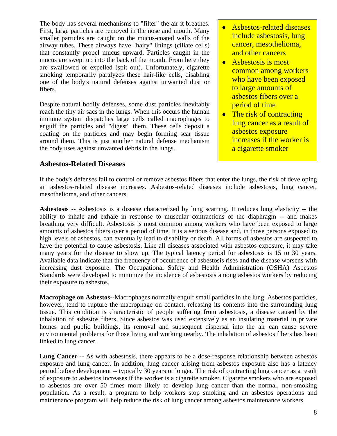The body has several mechanisms to "filter" the air it breathes. First, large particles are removed in the nose and mouth. Many smaller particles are caught on the mucus-coated walls of the airway tubes. These airways have "hairy" linings (ciliate cells) that constantly propel mucus upward. Particles caught in the mucus are swept up into the back of the mouth. From here they are swallowed or expelled (spit out). Unfortunately, cigarette smoking temporarily paralyzes these hair-like cells, disabling one of the body's natural defenses against unwanted dust or fibers.

Despite natural bodily defenses, some dust particles inevitably reach the tiny air sacs in the lungs. When this occurs the human immune system dispatches large cells called macrophages to engulf the particles and "digest" them. These cells deposit a coating on the particles and may begin forming scar tissue around them. This is just another natural defense mechanism the body uses against unwanted debris in the lungs.

### • Asbestos-related diseases include asbestosis, lung cancer, mesothelioma, and other cancers

- Asbestosis is most common among workers who have been exposed to large amounts of asbestos fibers over a period of time
- The risk of contracting lung cancer as a result of asbestos exposure increases if the worker is a cigarette smoker

## **Asbestos-Related Diseases**

If the body's defenses fail to control or remove asbestos fibers that enter the lungs, the risk of developing an asbestos-related disease increases. Asbestos-related diseases include asbestosis, lung cancer, mesothelioma, and other cancers.

**Asbestosis** -- Asbestosis is a disease characterized by lung scarring. It reduces lung elasticity -- the ability to inhale and exhale in response to muscular contractions of the diaphragm -- and makes breathing very difficult. Asbestosis is most common among workers who have been exposed to large amounts of asbestos fibers over a period of time. It is a serious disease and, in those persons exposed to high levels of asbestos, can eventually lead to disability or death. All forms of asbestos are suspected to have the potential to cause asbestosis. Like all diseases associated with asbestos exposure, it may take many years for the disease to show up. The typical latency period for asbestosis is 15 to 30 years. Available data indicate that the frequency of occurrence of asbestosis rises and the disease worsens with increasing dust exposure. The Occupational Safety and Health Administration (OSHA) Asbestos Standards were developed to minimize the incidence of asbestosis among asbestos workers by reducing their exposure to asbestos.

**Macrophage on Asbestos--**Macrophages normally engulf small particles in the lung. Asbestos particles, however, tend to rupture the macrophage on contact, releasing its contents into the surrounding lung tissue. This condition is characteristic of people suffering from asbestosis, a disease caused by the inhalation of asbestos fibers. Since asbestos was used extensively as an insulating material in private homes and public buildings, its removal and subsequent dispersal into the air can cause severe environmental problems for those living and working nearby. The inhalation of asbestos fibers has been linked to lung cancer.

**Lung Cancer --** As with asbestosis, there appears to be a dose-response relationship between asbestos exposure and lung cancer. In addition, lung cancer arising from asbestos exposure also has a latency period before development -- typically 30 years or longer. The risk of contracting lung cancer as a result of exposure to asbestos increases if the worker is a cigarette smoker. Cigarette smokers who are exposed to asbestos are over 50 times more likely to develop lung cancer than the normal, non-smoking population. As a result, a program to help workers stop smoking and an asbestos operations and maintenance program will help reduce the risk of lung cancer among asbestos maintenance workers.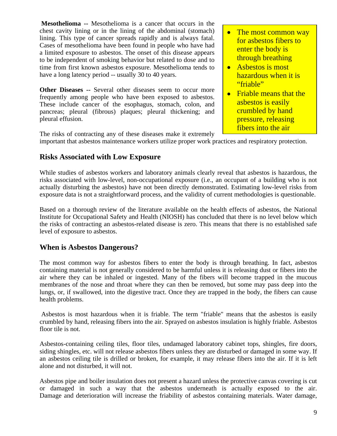**Mesothelioma --** Mesothelioma is a cancer that occurs in the chest cavity lining or in the lining of the abdominal (stomach) lining. This type of cancer spreads rapidly and is always fatal. Cases of mesothelioma have been found in people who have had a limited exposure to asbestos. The onset of this disease appears to be independent of smoking behavior but related to dose and to time from first known asbestos exposure. Mesothelioma tends to have a long latency period -- usually 30 to 40 years.

**Other Diseases --** Several other diseases seem to occur more frequently among people who have been exposed to asbestos. These include cancer of the esophagus, stomach, colon, and pancreas; pleural (fibrous) plaques; pleural thickening; and pleural effusion.

- The most common way for asbestos fibers to enter the body is through breathing
- Asbestos is most hazardous when it is "friable"
- Friable means that the asbestos is easily crumbled by hand pressure, releasing fibers into the air

The risks of contracting any of these diseases make it extremely

important that asbestos maintenance workers utilize proper work practices and respiratory protection.

## **Risks Associated with Low Exposure**

While studies of asbestos workers and laboratory animals clearly reveal that asbestos is hazardous, the risks associated with low-level, non-occupational exposure (i.e., an occupant of a building who is not actually disturbing the asbestos) have not been directly demonstrated. Estimating low-level risks from exposure data is not a straightforward process, and the validity of current methodologies is questionable.

Based on a thorough review of the literature available on the health effects of asbestos, the National Institute for Occupational Safety and Health (NIOSH) has concluded that there is no level below which the risks of contracting an asbestos-related disease is zero. This means that there is no established safe level of exposure to asbestos.

### **When is Asbestos Dangerous?**

The most common way for asbestos fibers to enter the body is through breathing. In fact, asbestos containing material is not generally considered to be harmful unless it is releasing dust or fibers into the air where they can be inhaled or ingested. Many of the fibers will become trapped in the mucous membranes of the nose and throat where they can then be removed, but some may pass deep into the lungs, or, if swallowed, into the digestive tract. Once they are trapped in the body, the fibers can cause health problems.

 Asbestos is most hazardous when it is friable. The term "friable" means that the asbestos is easily crumbled by hand, releasing fibers into the air. Sprayed on asbestos insulation is highly friable. Asbestos floor tile is not.

Asbestos-containing ceiling tiles, floor tiles, undamaged laboratory cabinet tops, shingles, fire doors, siding shingles, etc. will not release asbestos fibers unless they are disturbed or damaged in some way. If an asbestos ceiling tile is drilled or broken, for example, it may release fibers into the air. If it is left alone and not disturbed, it will not.

Asbestos pipe and boiler insulation does not present a hazard unless the protective canvas covering is cut or damaged in such a way that the asbestos underneath is actually exposed to the air. Damage and deterioration will increase the friability of asbestos containing materials. Water damage,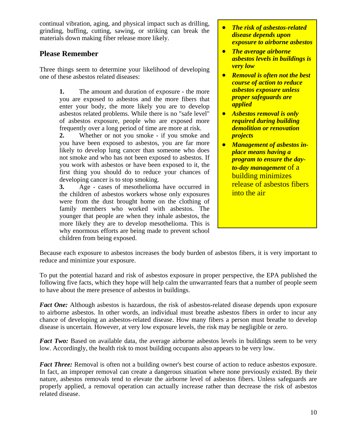continual vibration, aging, and physical impact such as drilling, grinding, buffing, cutting, sawing, or striking can break the materials down making fiber release more likely.

## **Please Remember**

Three things seem to determine your likelihood of developing one of these asbestos related diseases:

> **1.** The amount and duration of exposure - the more you are exposed to asbestos and the more fibers that enter your body, the more likely you are to develop asbestos related problems. While there is no "safe level" of asbestos exposure, people who are exposed more frequently over a long period of time are more at risk.

> **2.** Whether or not you smoke - if you smoke and you have been exposed to asbestos, you are far more likely to develop lung cancer than someone who does not smoke and who has not been exposed to asbestos. If you work with asbestos or have been exposed to it, the first thing you should do to reduce your chances of developing cancer is to stop smoking.

> **3.** Age - cases of mesothelioma have occurred in the children of asbestos workers whose only exposures were from the dust brought home on the clothing of family members who worked with asbestos. The younger that people are when they inhale asbestos, the more likely they are to develop mesothelioma. This is why enormous efforts are being made to prevent school children from being exposed.

- *The risk of asbestos-related disease depends upon exposure to airborne asbestos*
- *The average airborne asbestos levels in buildings is very low*
- *Removal is often not the best course of action to reduce asbestos exposure unless proper safeguards are applied*
- *Asbestos removal is only required during building demolition or renovation projects*
- *Management of asbestos inplace means having a program to ensure the dayto-day management* of a building minimizes release of asbestos fibers into the air

Because each exposure to asbestos increases the body burden of asbestos fibers, it is very important to reduce and minimize your exposure.

To put the potential hazard and risk of asbestos exposure in proper perspective, the EPA published the following five facts, which they hope will help calm the unwarranted fears that a number of people seem to have about the mere presence of asbestos in buildings.

*Fact One:* Although asbestos is hazardous, the risk of asbestos-related disease depends upon exposure to airborne asbestos. In other words, an individual must breathe asbestos fibers in order to incur any chance of developing an asbestos-related disease. How many fibers a person must breathe to develop disease is uncertain. However, at very low exposure levels, the risk may be negligible or zero.

*Fact Two:* Based on available data, the average airborne asbestos levels in buildings seem to be very low. Accordingly, the health risk to most building occupants also appears to be very low.

*Fact Three:* Removal is often not a building owner's best course of action to reduce asbestos exposure. In fact, an improper removal can create a dangerous situation where none previously existed. By their nature, asbestos removals tend to elevate the airborne level of asbestos fibers. Unless safeguards are properly applied, a removal operation can actually increase rather than decrease the risk of asbestos related disease.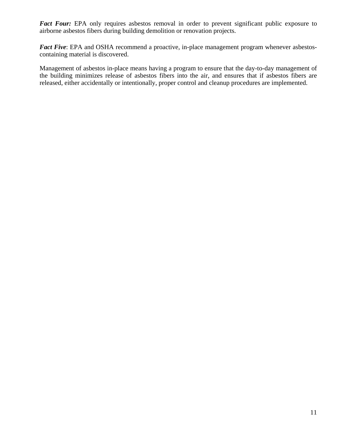Fact Four: EPA only requires asbestos removal in order to prevent significant public exposure to airborne asbestos fibers during building demolition or renovation projects.

*Fact Five*: EPA and OSHA recommend a proactive, in-place management program whenever asbestoscontaining material is discovered.

Management of asbestos in-place means having a program to ensure that the day-to-day management of the building minimizes release of asbestos fibers into the air, and ensures that if asbestos fibers are released, either accidentally or intentionally, proper control and cleanup procedures are implemented.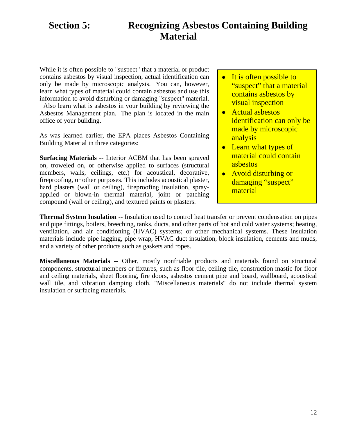# **Section 5: Recognizing Asbestos Containing Building Material**

While it is often possible to "suspect" that a material or product contains asbestos by visual inspection, actual identification can only be made by microscopic analysis. You can, however, learn what types of material could contain asbestos and use this information to avoid disturbing or damaging "suspect" material.

 Also learn what is asbestos in your building by reviewing the Asbestos Management plan. The plan is located in the main office of your building.

As was learned earlier, the EPA places Asbestos Containing Building Material in three categories:

**Surfacing Materials** -- Interior ACBM that has been sprayed on, troweled on, or otherwise applied to surfaces (structural members, walls, ceilings, etc.) for acoustical, decorative, fireproofing, or other purposes. This includes acoustical plaster, hard plasters (wall or ceiling), fireproofing insulation, sprayapplied or blown-in thermal material, joint or patching compound (wall or ceiling), and textured paints or plasters.

- It is often possible to "suspect" that a material contains asbestos by visual inspection
- Actual asbestos identification can only be made by microscopic analysis
- Learn what types of material could contain asbestos
- Avoid disturbing or damaging "suspect" material

**Thermal System Insulation** -- Insulation used to control heat transfer or prevent condensation on pipes and pipe fittings, boilers, breeching, tanks, ducts, and other parts of hot and cold water systems; heating, ventilation, and air conditioning (HVAC) systems; or other mechanical systems. These insulation materials include pipe lagging, pipe wrap, HVAC duct insulation, block insulation, cements and muds, and a variety of other products such as gaskets and ropes.

**Miscellaneous Materials** -- Other, mostly nonfriable products and materials found on structural components, structural members or fixtures, such as floor tile, ceiling tile, construction mastic for floor and ceiling materials, sheet flooring, fire doors, asbestos cement pipe and board, wallboard, acoustical wall tile, and vibration damping cloth. "Miscellaneous materials" do not include thermal system insulation or surfacing materials.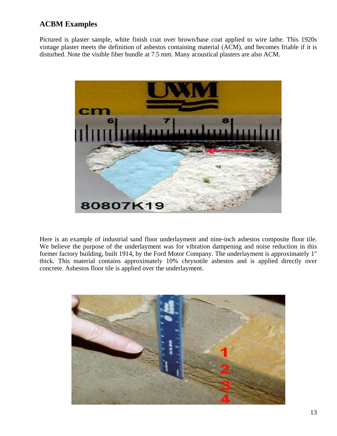## **ACBM Examples**

Pictured is plaster sample, white finish coat over brown/base coat applied to wire lathe. This 1920s vintage plaster meets the definition of asbestos containing material (ACM), and becomes friable if it is disturbed. Note the visible fiber bundle at 7.5 mm. Many acoustical plasters are also ACM.



Here is an example of industrial sand floor underlayment and nine-inch asbestos composite floor tile. We believe the purpose of the underlayment was for vibration dampening and noise reduction in this former factory building, built 1914, by the Ford Motor Company. The underlayment is approximately 1" thick. This material contains approximately 10% chrysotile asbestos and is applied directly over concrete. Asbestos floor tile is applied over the underlayment.

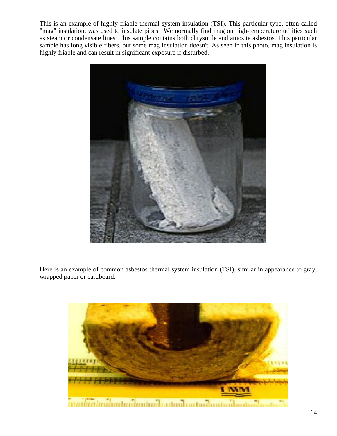This is an example of highly friable thermal system insulation (TSI). This particular type, often called "mag" insulation, was used to insulate pipes. We normally find mag on high-temperature utilities such as steam or condensate lines. This sample contains both chrysotile and amosite asbestos. This particular sample has long visible fibers, but some mag insulation doesn't. As seen in this photo, mag insulation is highly friable and can result in significant exposure if disturbed.



Here is an example of common asbestos thermal system insulation (TSI), similar in appearance to gray, wrapped paper or cardboard.

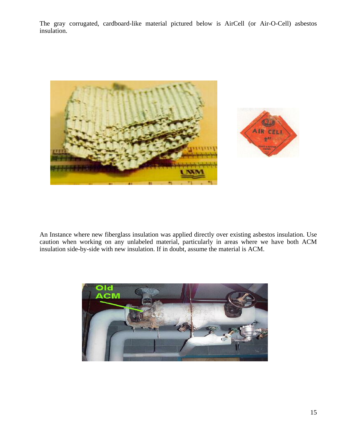The gray corrugated, cardboard-like material pictured below is AirCell (or Air-O-Cell) asbestos insulation.





An Instance where new fiberglass insulation was applied directly over existing asbestos insulation. Use caution when working on any unlabeled material, particularly in areas where we have both ACM insulation side-by-side with new insulation. If in doubt, assume the material is ACM.

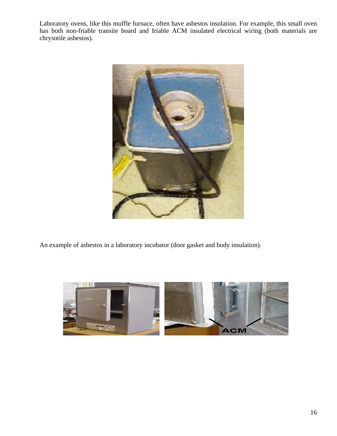Laboratory ovens, like this muffle furnace, often have asbestos insulation. For example, this small oven has both non-friable transite board and friable ACM insulated electrical wiring (both materials are chrysotile asbestos).



An example of asbestos in a laboratory incubator (door gasket and body insulation).

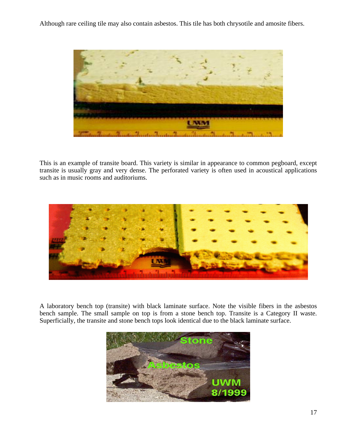Although rare ceiling tile may also contain asbestos. This tile has both chrysotile and amosite fibers.



This is an example of transite board. This variety is similar in appearance to common pegboard, except transite is usually gray and very dense. The perforated variety is often used in acoustical applications such as in music rooms and auditoriums.



A laboratory bench top (transite) with black laminate surface. Note the visible fibers in the asbestos bench sample. The small sample on top is from a stone bench top. Transite is a Category II waste. Superficially, the transite and stone bench tops look identical due to the black laminate surface.

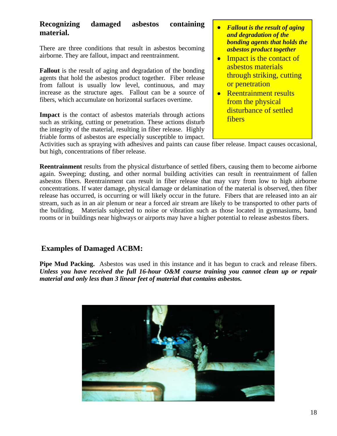#### **Recognizing damaged asbestos containing material.**

There are three conditions that result in asbestos becoming airborne. They are fallout, impact and reentrainment.

**Fallout** is the result of aging and degradation of the bonding agents that hold the asbestos product together. Fiber release from fallout is usually low level, continuous, and may increase as the structure ages. Fallout can be a source of fibers, which accumulate on horizontal surfaces overtime.

**Impact** is the contact of asbestos materials through actions such as striking, cutting or penetration. These actions disturb the integrity of the material, resulting in fiber release. Highly friable forms of asbestos are especially susceptible to impact.

- *Fallout is the result of aging and degradation of the bonding agents that holds the asbestos product together*
- Impact is the contact of asbestos materials through striking, cutting or penetration
- Reentrainment results from the physical disturbance of settled fibers

Activities such as spraying with adhesives and paints can cause fiber release. Impact causes occasional, but high, concentrations of fiber release.

**Reentrainment** results from the physical disturbance of settled fibers, causing them to become airborne again. Sweeping; dusting, and other normal building activities can result in reentrainment of fallen asbestos fibers. Reentrainment can result in fiber release that may vary from low to high airborne concentrations. If water damage, physical damage or delamination of the material is observed, then fiber release has occurred, is occurring or will likely occur in the future. Fibers that are released into an air stream, such as in an air plenum or near a forced air stream are likely to be transported to other parts of the building. Materials subjected to noise or vibration such as those located in gymnasiums, band rooms or in buildings near highways or airports may have a higher potential to release asbestos fibers.

## **Examples of Damaged ACBM:**

**Pipe Mud Packing.** Asbestos was used in this instance and it has begun to crack and release fibers. *Unless you have received the full 16-hour O&M course training you cannot clean up or repair material and only less than 3 linear feet of material that contains asbestos.* 

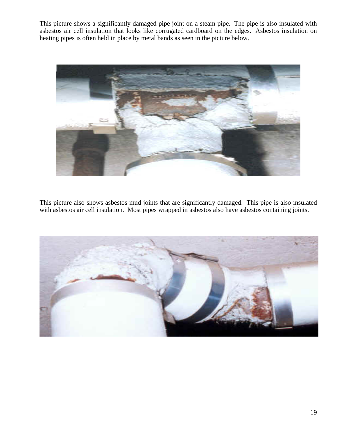This picture shows a significantly damaged pipe joint on a steam pipe. The pipe is also insulated with asbestos air cell insulation that looks like corrugated cardboard on the edges. Asbestos insulation on heating pipes is often held in place by metal bands as seen in the picture below.



This picture also shows asbestos mud joints that are significantly damaged. This pipe is also insulated with asbestos air cell insulation. Most pipes wrapped in asbestos also have asbestos containing joints.

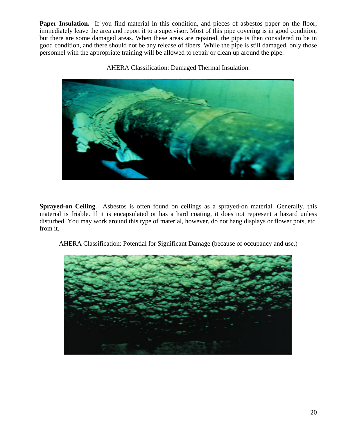**Paper Insulation.** If you find material in this condition, and pieces of asbestos paper on the floor, immediately leave the area and report it to a supervisor. Most of this pipe covering is in good condition, but there are some damaged areas. When these areas are repaired, the pipe is then considered to be in good condition, and there should not be any release of fibers. While the pipe is still damaged, only those personnel with the appropriate training will be allowed to repair or clean up around the pipe.



AHERA Classification: Damaged Thermal Insulation.

**Sprayed-on Ceiling**. Asbestos is often found on ceilings as a sprayed-on material. Generally, this material is friable. If it is encapsulated or has a hard coating, it does not represent a hazard unless disturbed. You may work around this type of material, however, do not hang displays or flower pots, etc. from it.



AHERA Classification: Potential for Significant Damage (because of occupancy and use.)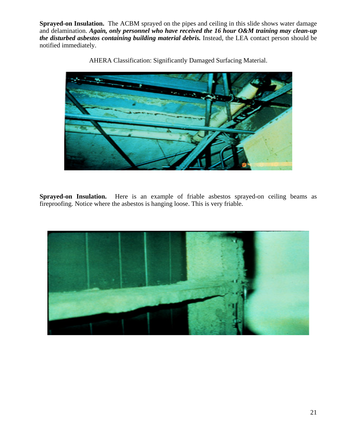**Sprayed-on Insulation.** The ACBM sprayed on the pipes and ceiling in this slide shows water damage and delamination. *Again, only personnel who have received the 16 hour O&M training may clean-up the disturbed asbestos containing building material debris.* Instead, the LEA contact person should be notified immediately.



AHERA Classification: Significantly Damaged Surfacing Material.

**Sprayed-on Insulation.** Here is an example of friable asbestos sprayed-on ceiling beams as fireproofing. Notice where the asbestos is hanging loose. This is very friable.

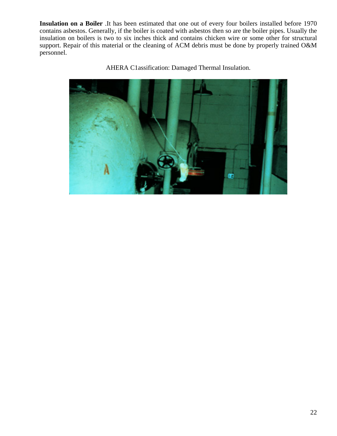**Insulation on a Boiler** .It has been estimated that one out of every four boilers installed before 1970 contains asbestos. Generally, if the boiler is coated with asbestos then so are the boiler pipes. Usually the insulation on boilers is two to six inches thick and contains chicken wire or some other for structural support. Repair of this material or the cleaning of ACM debris must be done by properly trained O&M personnel.



AHERA C1assification: Damaged Thermal Insulation.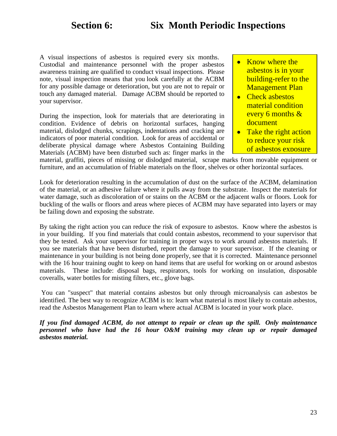# **Section 6: Six Month Periodic Inspections**

A visual inspections of asbestos is required every six months. Custodial and maintenance personnel with the proper asbestos awareness training are qualified to conduct visual inspections. Please note, visual inspection means that you look carefully at the ACBM for any possible damage or deterioration, but you are not to repair or touch any damaged material. Damage ACBM should be reported to your supervisor.

During the inspection, look for materials that are deteriorating in condition. Evidence of debris on horizontal surfaces, hanging material, dislodged chunks, scrapings, indentations and cracking are indicators of poor material condition. Look for areas of accidental or deliberate physical damage where Asbestos Containing Building Materials (ACBM) have been disturbed such as: finger marks in the

- Know where the asbestos is in your building-refer to the Management Plan
- Check asbestos material condition every 6 months & document
- Take the right action to reduce your risk of asbestos exposure

material, graffiti, pieces of missing or dislodged material, scrape marks from movable equipment or furniture, and an accumulation of friable materials on the floor, shelves or other horizontal surfaces.

Look for deterioration resulting in the accumulation of dust on the surface of the ACBM, delamination of the material, or an adhesive failure where it pulls away from the substrate. Inspect the materials for water damage, such as discoloration of or stains on the ACBM or the adjacent walls or floors. Look for buckling of the walls or floors and areas where pieces of ACBM may have separated into layers or may be failing down and exposing the substrate.

By taking the right action you can reduce the risk of exposure to asbestos. Know where the asbestos is in your building. If you find materials that could contain asbestos, recommend to your supervisor that they be tested. Ask your supervisor for training in proper ways to work around asbestos materials. If you see materials that have been disturbed, report the damage to your supervisor. If the cleaning or maintenance in your building is not being done properly, see that it is corrected. Maintenance personnel with the 16 hour training ought to keep on hand items that are useful for working on or around asbestos materials. These include: disposal bags, respirators, tools for working on insulation, disposable coveralls, water bottles for misting filters, etc., glove bags.

 You can "suspect" that material contains asbestos but only through microanalysis can asbestos be identified. The best way to recognize ACBM is to: learn what material is most likely to contain asbestos, read the Asbestos Management Plan to learn where actual ACBM is located in your work place.

*If you find damaged ACBM, do not attempt to repair or clean up the spill. Only maintenance personnel who have had the 16 hour O&M training may clean up or repair damaged asbestos material.*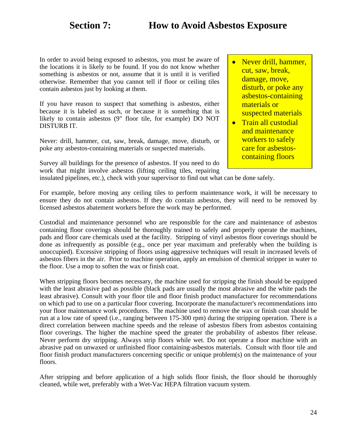In order to avoid being exposed to asbestos, you must be aware of the locations it is likely to be found. If you do not know whether something is asbestos or not, assume that it is until it is verified otherwise. Remember that you cannot tell if floor or ceiling tiles contain asbestos just by looking at them.

If you have reason to suspect that something is asbestos, either because it is labeled as such, or because it is something that is likely to contain asbestos (9" floor tile, for example) DO NOT DISTURB IT.

Never: drill, hammer, cut, saw, break, damage, move, disturb, or poke any asbestos-containing materials or suspected materials.

Survey all buildings for the presence of asbestos. If you need to do work that might involve asbestos (lifting ceiling tiles, repairing insulated pipelines, etc.), check with your supervisor to find out what can be done safely.

- Never drill, hammer, cut, saw, break, damage, move, disturb, or poke any asbestos-containing materials or suspected materials
- **•** Train all custodial and maintenance workers to safely care for asbestoscontaining floors

For example, before moving any ceiling tiles to perform maintenance work, it will be necessary to ensure they do not contain asbestos. If they do contain asbestos, they will need to be removed by licensed asbestos abatement workers before the work may be performed.

Custodial and maintenance personnel who are responsible for the care and maintenance of asbestos containing floor coverings should be thoroughly trained to safely and properly operate the machines, pads and floor care chemicals used at the facility. Stripping of vinyl asbestos floor coverings should be done as infrequently as possible (e.g., once per year maximum and preferably when the building is unoccupied). Excessive stripping of floors using aggressive techniques will result in increased levels of asbestos fibers in the air. Prior to machine operation, apply an emulsion of chemical stripper in water to the floor. Use a mop to soften the wax or finish coat.

When stripping floors becomes necessary, the machine used for stripping the finish should be equipped with the least abrasive pad as possible (black pads are usually the most abrasive and the white pads the least abrasive). Consult with your floor tile and floor finish product manufacturer for recommendations on which pad to use on a particular floor covering. Incorporate the manufacturer's recommendations into your floor maintenance work procedures. The machine used to remove the wax or finish coat should be run at a low rate of speed (i.e., ranging between 175-300 rpm) during the stripping operation. There is a direct correlation between machine speeds and the release of asbestos fibers from asbestos containing floor coverings. The higher the machine speed the greater the probability of asbestos fiber release. Never perform dry stripping. Always strip floors while wet. Do not operate a floor machine with an abrasive pad on unwaxed or unfinished floor containing-asbestos materials. Consult with floor tile and floor finish product manufacturers concerning specific or unique problem(s) on the maintenance of your floors.

After stripping and before application of a high solids floor finish, the floor should be thoroughly cleaned, while wet, preferably with a Wet-Vac HEPA filtration vacuum system.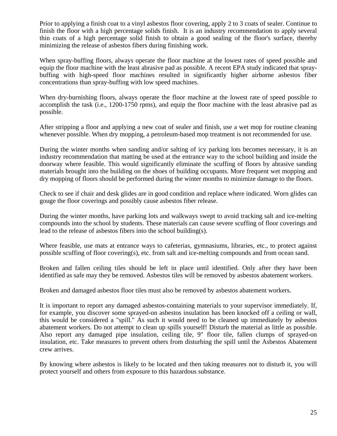Prior to applying a finish coat to a vinyl asbestos floor covering, apply 2 to 3 coats of sealer. Continue to finish the floor with a high percentage solids finish. It is an industry recommendation to apply several thin coats of a high percentage solid finish to obtain a good sealing of the floor's surface, thereby minimizing the release of asbestos fibers during finishing work.

When spray-buffing floors, always operate the floor machine at the lowest rates of speed possible and equip the floor machine with the least abrasive pad as possible. A recent EPA study indicated that spraybuffing with high-speed floor machines resulted in significantly higher airborne asbestos fiber concentrations than spray-buffing with low speed machines.

When dry-burnishing floors, always operate the floor machine at the lowest rate of speed possible to accomplish the task (i.e., 1200-1750 rpms), and equip the floor machine with the least abrasive pad as possible.

After stripping a floor and applying a new coat of sealer and finish, use a wet mop for routine cleaning whenever possible. When dry mopping, a petroleum-based mop treatment is not recommended for use.

During the winter months when sanding and/or salting of icy parking lots becomes necessary, it is an industry recommendation that matting be used at the entrance way to the school building and inside the doorway where feasible. This would significantly eliminate the scuffing of floors by abrasive sanding materials brought into the building on the shoes of building occupants. More frequent wet mopping and dry mopping of floors should be performed during the winter months to minimize damage to the floors.

Check to see if chair and desk glides are in good condition and replace where indicated. Worn glides can gouge the floor coverings and possibly cause asbestos fiber release.

During the winter months, have parking lots and walkways swept to avoid tracking salt and ice-melting compounds into the school by students. These materials can cause severe scuffing of floor coverings and lead to the release of asbestos fibers into the school building(s).

Where feasible, use mats at entrance ways to cafeterias, gymnasiums, libraries, etc., to protect against possible scuffing of floor covering(s), etc. from salt and ice-melting compounds and from ocean sand.

Broken and fallen ceiling tiles should be left in place until identified. Only after they have been identified as safe may they be removed. Asbestos tiles will be removed by asbestos abatement workers.

Broken and damaged asbestos floor tiles must also be removed by asbestos abatement workers.

It is important to report any damaged asbestos-containing materials to your supervisor immediately. If, for example, you discover some sprayed-on asbestos insulation has been knocked off a ceiling or wall, this would be considered a "spill." As such it would need to be cleaned up immediately by asbestos abatement workers. Do not attempt to clean up spills yourself! Disturb the material as little as possible. Also report any damaged pipe insulation, ceiling tile, 9" floor tile, fallen clumps of sprayed-on insulation, etc. Take measures to prevent others from disturbing the spill until the Asbestos Abatement crew arrives.

By knowing where asbestos is likely to be located and then taking measures not to disturb it, you will protect yourself and others from exposure to this hazardous substance.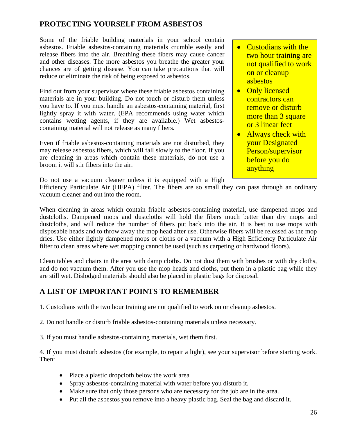## **PROTECTING YOURSELF FROM ASBESTOS**

Some of the friable building materials in your school contain asbestos. Friable asbestos-containing materials crumble easily and release fibers into the air. Breathing these fibers may cause cancer and other diseases. The more asbestos you breathe the greater your chances are of getting disease. You can take precautions that will reduce or eliminate the risk of being exposed to asbestos.

Find out from your supervisor where these friable asbestos containing materials are in your building. Do not touch or disturb them unless you have to. If you must handle an asbestos-containing material, first lightly spray it with water. (EPA recommends using water which contains wetting agents, if they are available.) Wet asbestoscontaining material will not release as many fibers.

Even if friable asbestos-containing materials are not disturbed, they may release asbestos fibers, which will fall slowly to the floor. If you are cleaning in areas which contain these materials, do not use a broom it will stir fibers into the air.

- Custodians with the two hour training are not qualified to work on or cleanup asbestos
- Only licensed contractors can remove or disturb more than 3 square or 3 linear feet
- Always check with your Designated Person/supervisor before you do anything

Do not use a vacuum cleaner unless it is equipped with a High

Efficiency Particulate Air (HEPA) filter. The fibers are so small they can pass through an ordinary vacuum cleaner and out into the room.

When cleaning in areas which contain friable asbestos-containing material, use dampened mops and dustcloths. Dampened mops and dustcloths will hold the fibers much better than dry mops and dustcloths, and will reduce the number of fibers put back into the air. It is best to use mops with disposable heads and to throw away the mop head after use. Otherwise fibers will be released as the mop dries. Use either lightly dampened mops or cloths or a vacuum with a High Efficiency Particulate Air filter to clean areas where wet mopping cannot be used (such as carpeting or hardwood floors).

Clean tables and chairs in the area with damp cloths. Do not dust them with brushes or with dry cloths, and do not vacuum them. After you use the mop heads and cloths, put them in a plastic bag while they are still wet. Dislodged materials should also be placed in plastic bags for disposal.

## **A LIST OF IMPORTANT POINTS TO REMEMBER**

1. Custodians with the two hour training are not qualified to work on or cleanup asbestos.

2. Do not handle or disturb friable asbestos-containing materials unless necessary.

3. If you must handle asbestos-containing materials, wet them first.

4. If you must disturb asbestos (for example, to repair a light), see your supervisor before starting work. Then:

- Place a plastic dropcloth below the work area
- Spray asbestos-containing material with water before you disturb it.
- Make sure that only those persons who are necessary for the job are in the area.
- Put all the asbestos you remove into a heavy plastic bag. Seal the bag and discard it.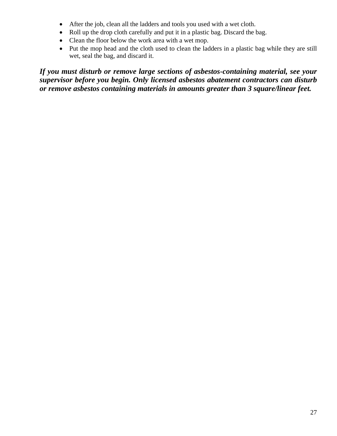- After the job, clean all the ladders and tools you used with a wet cloth.
- Roll up the drop cloth carefully and put it in a plastic bag. Discard the bag.
- Clean the floor below the work area with a wet mop.
- Put the mop head and the cloth used to clean the ladders in a plastic bag while they are still wet, seal the bag, and discard it.

*If you must disturb or remove large sections of asbestos-containing material, see your supervisor before you begin. Only licensed asbestos abatement contractors can disturb or remove asbestos containing materials in amounts greater than 3 square/linear feet.*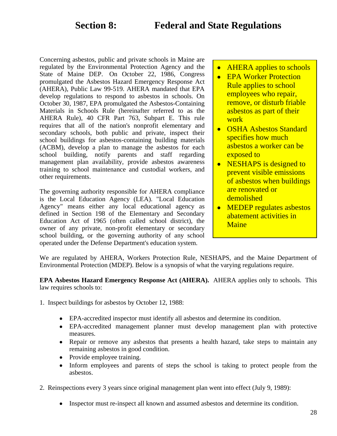Concerning asbestos, public and private schools in Maine are regulated by the Environmental Protection Agency and the State of Maine DEP. On October 22, 1986, Congress promulgated the Asbestos Hazard Emergency Response Act (AHERA), Public Law 99-519. AHERA mandated that EPA develop regulations to respond to asbestos in schools. On October 30, 1987, EPA promulgated the Asbestos-Containing Materials in Schools Rule (hereinafter referred to as the AHERA Rule), 40 CFR Part 763, Subpart E. This rule requires that all of the nation's nonprofit elementary and secondary schools, both public and private, inspect their school buildings for asbestos-containing building materials (ACBM), develop a plan to manage the asbestos for each school building, notify parents and staff regarding management plan availability, provide asbestos awareness training to school maintenance and custodial workers, and other requirements.

The governing authority responsible for AHERA compliance is the Local Education Agency (LEA). "Local Education Agency" means either any local educational agency as defined in Section 198 of the Elementary and Secondary Education Act of 1965 (often called school district), the owner of any private, non-profit elementary or secondary school building, or the governing authority of any school operated under the Defense Department's education system.

- AHERA applies to schools
- EPA Worker Protection Rule applies to school employees who repair, remove, or disturb friable asbestos as part of their work
- OSHA Asbestos Standard specifies how much asbestos a worker can be exposed to
- NESHAPS is designed to prevent visible emissions of asbestos when buildings are renovated or demolished
- MEDEP regulates asbestos abatement activities in **Maine**

We are regulated by AHERA, Workers Protection Rule, NESHAPS, and the Maine Department of Environmental Protection (MDEP). Below is a synopsis of what the varying regulations require.

**EPA Asbestos Hazard Emergency Response Act (AHERA).** AHERA applies only to schools. This law requires schools to:

- 1. Inspect buildings for asbestos by October 12, 1988:
	- EPA-accredited inspector must identify all asbestos and determine its condition.
	- EPA-accredited management planner must develop management plan with protective measures.
	- Repair or remove any asbestos that presents a health hazard, take steps to maintain any remaining asbestos in good condition.
	- Provide employee training.
	- Inform employees and parents of steps the school is taking to protect people from the asbestos.
- 2. Reinspections every 3 years since original management plan went into effect (July 9, 1989):
	- Inspector must re-inspect all known and assumed asbestos and determine its condition.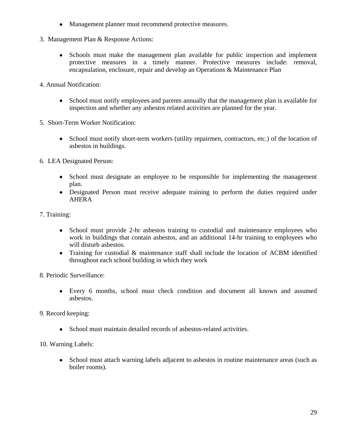- Management planner must recommend protective measures.
- 3. Management Plan & Response Actions:
	- Schools must make the management plan available for public inspection and implement protective measures in a timely manner. Protective measures include: removal, encapsulation, enclosure, repair and develop an Operations & Maintenance Plan
- 4. Annual Notification:
	- School must notify employees and parents annually that the management plan is available for inspection and whether any asbestos related activities are planned for the year.
- 5. Short-Term Worker Notification:
	- School must notify short-term workers (utility repairmen, contractors, etc.) of the location of asbestos in buildings.
- 6. LEA Designated Person:
	- School must designate an employee to be responsible for implementing the management plan.
	- Designated Person must receive adequate training to perform the duties required under AHERA
- 7. Training:
	- School must provide 2-hr asbestos training to custodial and maintenance employees who work in buildings that contain asbestos, and an additional 14-hr training to employees who will disturb asbestos.
	- Training for custodial & maintenance staff shall include the location of ACBM identified throughout each school building in which they work
- 8. Periodic Surveillance:
	- Every 6 months, school must check condition and document all known and assumed asbestos.
- 9. Record keeping:
	- School must maintain detailed records of asbestos-related activities.
- 10. Warning Labels:
	- School must attach warning labels adjacent to asbestos in routine maintenance areas (such as boiler rooms).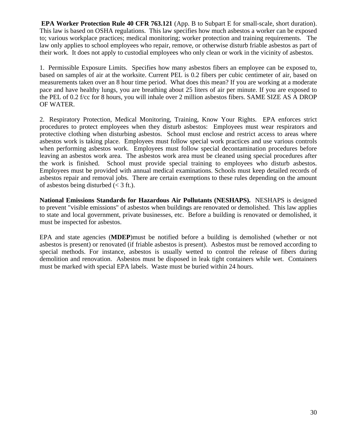**EPA Worker Protection Rule 40 CFR 763.121** (App. B to Subpart E for small-scale, short duration). This law is based on OSHA regulations. This law specifies how much asbestos a worker can be exposed to; various workplace practices; medical monitoring; worker protection and training requirements. The law only applies to school employees who repair, remove, or otherwise disturb friable asbestos as part of their work. It does not apply to custodial employees who only clean or work in the vicinity of asbestos.

1. Permissible Exposure Limits. Specifies how many asbestos fibers an employee can be exposed to, based on samples of air at the worksite. Current PEL is 0.2 fibers per cubic centimeter of air, based on measurements taken over an 8 hour time period. What does this mean? If you are working at a moderate pace and have healthy lungs, you are breathing about 25 liters of air per minute. If you are exposed to the PEL of 0.2 f/cc for 8 hours, you will inhale over 2 million asbestos fibers. SAME SIZE AS A DROP OF WATER.

2. Respiratory Protection, Medical Monitoring, Training, Know Your Rights. EPA enforces strict procedures to protect employees when they disturb asbestos: Employees must wear respirators and protective clothing when disturbing asbestos. School must enclose and restrict access to areas where asbestos work is taking place. Employees must follow special work practices and use various controls when performing asbestos work. Employees must follow special decontamination procedures before leaving an asbestos work area. The asbestos work area must be cleaned using special procedures after the work is finished. School must provide special training to employees who disturb asbestos. Employees must be provided with annual medical examinations. Schools must keep detailed records of asbestos repair and removal jobs. There are certain exemptions to these rules depending on the amount of asbestos being disturbed  $\ll$  3 ft.).

**National Emissions Standards for Hazardous Air Pollutants (NESHAPS).** NESHAPS is designed to prevent "visible emissions" of asbestos when buildings are renovated or demolished. This law applies to state and local government, private businesses, etc. Before a building is renovated or demolished, it must be inspected for asbestos.

EPA and state agencies (**MDEP**)must be notified before a building is demolished (whether or not asbestos is present) or renovated (if friable asbestos is present). Asbestos must be removed according to special methods. For instance, asbestos is usually wetted to control the release of fibers during demolition and renovation. Asbestos must be disposed in leak tight containers while wet. Containers must be marked with special EPA labels. Waste must be buried within 24 hours.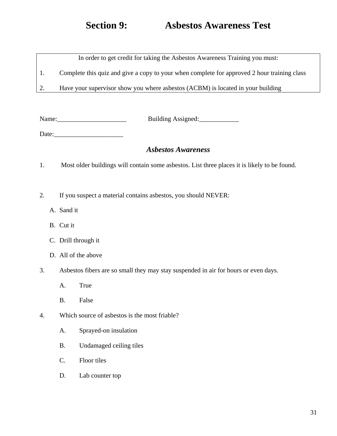# **Section 9: Asbestos Awareness Test**

In order to get credit for taking the Asbestos Awareness Training you must:

1. Complete this quiz and give a copy to your when complete for approved 2 hour training class

2. Have your supervisor show you where asbestos (ACBM) is located in your building

Name: Name: Building Assigned:

Date:\_\_\_\_\_\_\_\_\_\_\_\_\_\_\_\_\_\_\_\_\_

## *Asbestos Awareness*

- 1. Most older buildings will contain some asbestos. List three places it is likely to be found.
- 2. If you suspect a material contains asbestos, you should NEVER:
	- A. Sand it
	- B. Cut it
	- C. Drill through it
	- D. All of the above
- 3. Asbestos fibers are so small they may stay suspended in air for hours or even days.
	- A. True
	- B. False
- 4. Which source of asbestos is the most friable?
	- A. Sprayed-on insulation
	- B. Undamaged ceiling tiles
	- C. Floor tiles
	- D. Lab counter top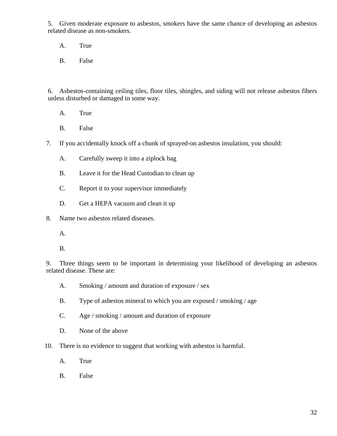5. Given moderate exposure to asbestos, smokers have the same chance of developing an asbestos related disease as non-smokers.

A. True

B. False

6. Asbestos-containing ceiling tiles, floor tiles, shingles, and siding will not release asbestos fibers unless disturbed or damaged in some way.

- A. True
- B. False
- 7. If you accidentally knock off a chunk of sprayed-on asbestos insulation, you should:
	- A. Carefully sweep it into a ziplock bag
	- B. Leave it for the Head Custodian to clean up
	- C. Report it to your supervisor immediately
	- D. Get a HEPA vacuum and clean it up
- 8. Name two asbestos related diseases.
	- A.
	- B.

9. Three things seem to be important in determining your likelihood of developing an asbestos related disease. These are:

- A. Smoking / amount and duration of exposure / sex
- B. Type of asbestos mineral to which you are exposed / smoking / age
- C. Age / smoking / amount and duration of exposure
- D. None of the above
- 10. There is no evidence to suggest that working with asbestos is harmful.
	- A. True
	- B. False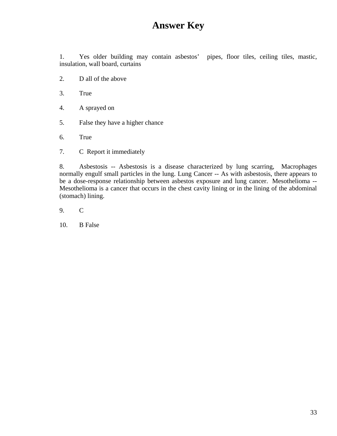# **Answer Key**

1. Yes older building may contain asbestos' pipes, floor tiles, ceiling tiles, mastic, insulation, wall board, curtains

- 2. D all of the above
- 3. True
- 4. A sprayed on
- 5. False they have a higher chance
- 6. True
- 7. C Report it immediately

8. Asbestosis -- Asbestosis is a disease characterized by lung scarring, Macrophages normally engulf small particles in the lung. Lung Cancer -- As with asbestosis, there appears to be a dose-response relationship between asbestos exposure and lung cancer. Mesothelioma -- Mesothelioma is a cancer that occurs in the chest cavity lining or in the lining of the abdominal (stomach) lining.

- 9. C
- 10. B False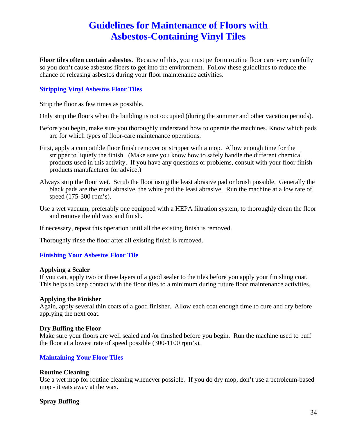# **Guidelines for Maintenance of Floors with Asbestos-Containing Vinyl Tiles**

**Floor tiles often contain asbestos.** Because of this, you must perform routine floor care very carefully so you don't cause asbestos fibers to get into the environment. Follow these guidelines to reduce the chance of releasing asbestos during your floor maintenance activities.

#### **Stripping Vinyl Asbestos Floor Tiles**

Strip the floor as few times as possible.

Only strip the floors when the building is not occupied (during the summer and other vacation periods).

- Before you begin, make sure you thoroughly understand how to operate the machines. Know which pads are for which types of floor-care maintenance operations.
- First, apply a compatible floor finish remover or stripper with a mop. Allow enough time for the stripper to liquefy the finish. (Make sure you know how to safely handle the different chemical products used in this activity. If you have any questions or problems, consult with your floor finish products manufacturer for advice.)
- Always strip the floor wet. Scrub the floor using the least abrasive pad or brush possible. Generally the black pads are the most abrasive, the white pad the least abrasive. Run the machine at a low rate of speed (175-300 rpm's).
- Use a wet vacuum, preferably one equipped with a HEPA filtration system, to thoroughly clean the floor and remove the old wax and finish.

If necessary, repeat this operation until all the existing finish is removed.

Thoroughly rinse the floor after all existing finish is removed.

#### **Finishing Your Asbestos Floor Tile**

#### **Applying a Sealer**

If you can, apply two or three layers of a good sealer to the tiles before you apply your finishing coat. This helps to keep contact with the floor tiles to a minimum during future floor maintenance activities.

#### **Applying the Finisher**

Again, apply several thin coats of a good finisher. Allow each coat enough time to cure and dry before applying the next coat.

#### **Dry Buffing the Floor**

Make sure your floors are well sealed and /or finished before you begin. Run the machine used to buff the floor at a lowest rate of speed possible (300-1100 rpm's).

#### **Maintaining Your Floor Tiles**

#### **Routine Cleaning**

Use a wet mop for routine cleaning whenever possible. If you do dry mop, don't use a petroleum-based mop - it eats away at the wax.

#### **Spray Buffing**